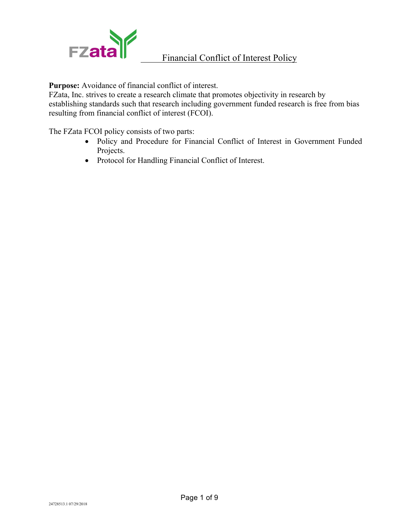

**Purpose:** Avoidance of financial conflict of interest.

FZata, Inc. strives to create a research climate that promotes objectivity in research by establishing standards such that research including government funded research is free from bias resulting from financial conflict of interest (FCOI).

The FZata FCOI policy consists of two parts:

- Policy and Procedure for Financial Conflict of Interest in Government Funded Projects.
- Protocol for Handling Financial Conflict of Interest.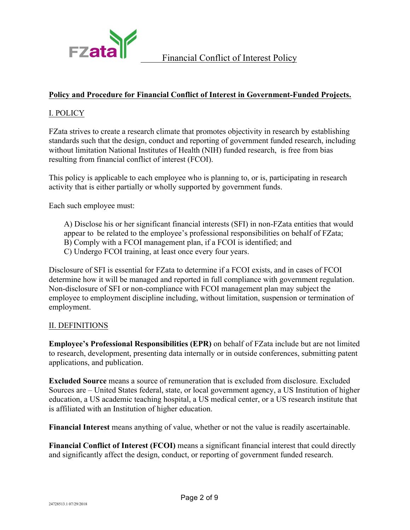

### **Policy and Procedure for Financial Conflict of Interest in Government-Funded Projects.**

### I. POLICY

FZata strives to create a research climate that promotes objectivity in research by establishing standards such that the design, conduct and reporting of government funded research, including without limitation National Institutes of Health (NIH) funded research, is free from bias resulting from financial conflict of interest (FCOI).

This policy is applicable to each employee who is planning to, or is, participating in research activity that is either partially or wholly supported by government funds.

Each such employee must:

A) Disclose his or her significant financial interests (SFI) in non-FZata entities that would appear to be related to the employee's professional responsibilities on behalf of FZata; B) Comply with a FCOI management plan, if a FCOI is identified; and C) Undergo FCOI training, at least once every four years.

Disclosure of SFI is essential for FZata to determine if a FCOI exists, and in cases of FCOI determine how it will be managed and reported in full compliance with government regulation. Non-disclosure of SFI or non-compliance with FCOI management plan may subject the employee to employment discipline including, without limitation, suspension or termination of employment.

#### II. DEFINITIONS

**Employee's Professional Responsibilities (EPR)** on behalf of FZata include but are not limited to research, development, presenting data internally or in outside conferences, submitting patent applications, and publication.

**Excluded Source** means a source of remuneration that is excluded from disclosure. Excluded Sources are – United States federal, state, or local government agency, a US Institution of higher education, a US academic teaching hospital, a US medical center, or a US research institute that is affiliated with an Institution of higher education.

**Financial Interest** means anything of value, whether or not the value is readily ascertainable.

**Financial Conflict of Interest (FCOI)** means a significant financial interest that could directly and significantly affect the design, conduct, or reporting of government funded research.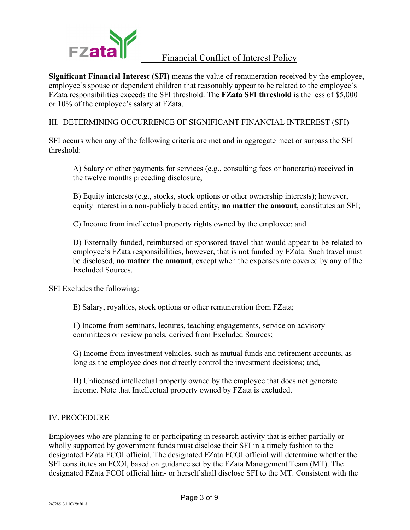

**Significant Financial Interest (SFI)** means the value of remuneration received by the employee, employee's spouse or dependent children that reasonably appear to be related to the employee's FZata responsibilities exceeds the SFI threshold. The **FZata SFI threshold** is the less of \$5,000 or 10% of the employee's salary at FZata.

### III. DETERMINING OCCURRENCE OF SIGNIFICANT FINANCIAL INTREREST (SFI)

SFI occurs when any of the following criteria are met and in aggregate meet or surpass the SFI threshold:

A) Salary or other payments for services (e.g., consulting fees or honoraria) received in the twelve months preceding disclosure;

B) Equity interests (e.g., stocks, stock options or other ownership interests); however, equity interest in a non-publicly traded entity, **no matter the amount**, constitutes an SFI;

C) Income from intellectual property rights owned by the employee: and

D) Externally funded, reimbursed or sponsored travel that would appear to be related to employee's FZata responsibilities, however, that is not funded by FZata. Such travel must be disclosed, **no matter the amount**, except when the expenses are covered by any of the Excluded Sources.

SFI Excludes the following:

E) Salary, royalties, stock options or other remuneration from FZata;

F) Income from seminars, lectures, teaching engagements, service on advisory committees or review panels, derived from Excluded Sources;

G) Income from investment vehicles, such as mutual funds and retirement accounts, as long as the employee does not directly control the investment decisions; and,

H) Unlicensed intellectual property owned by the employee that does not generate income. Note that Intellectual property owned by FZata is excluded.

#### IV. PROCEDURE

Employees who are planning to or participating in research activity that is either partially or wholly supported by government funds must disclose their SFI in a timely fashion to the designated FZata FCOI official. The designated FZata FCOI official will determine whether the SFI constitutes an FCOI, based on guidance set by the FZata Management Team (MT). The designated FZata FCOI official him- or herself shall disclose SFI to the MT. Consistent with the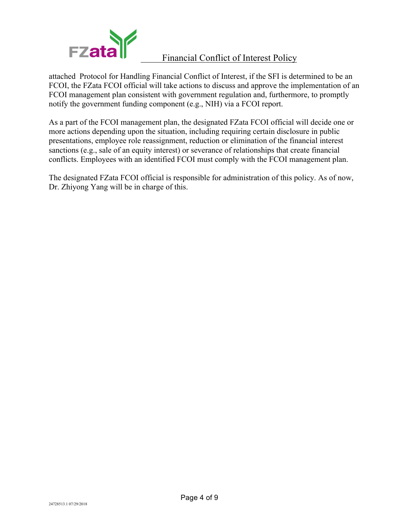

attached Protocol for Handling Financial Conflict of Interest, if the SFI is determined to be an FCOI, the FZata FCOI official will take actions to discuss and approve the implementation of an FCOI management plan consistent with government regulation and, furthermore, to promptly notify the government funding component (e.g., NIH) via a FCOI report.

As a part of the FCOI management plan, the designated FZata FCOI official will decide one or more actions depending upon the situation, including requiring certain disclosure in public presentations, employee role reassignment, reduction or elimination of the financial interest sanctions (e.g., sale of an equity interest) or severance of relationships that create financial conflicts. Employees with an identified FCOI must comply with the FCOI management plan.

The designated FZata FCOI official is responsible for administration of this policy. As of now, Dr. Zhiyong Yang will be in charge of this.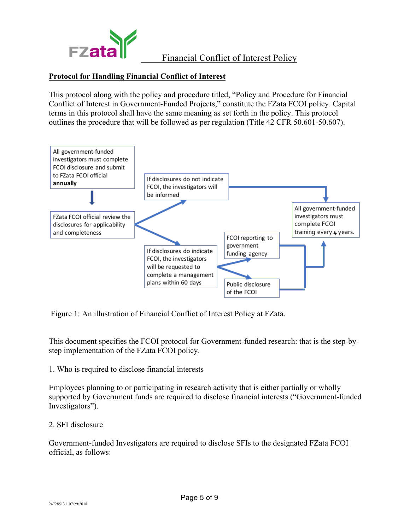

### **Protocol for Handling Financial Conflict of Interest**

This protocol along with the policy and procedure titled, "Policy and Procedure for Financial Conflict of Interest in Government-Funded Projects," constitute the FZata FCOI policy. Capital terms in this protocol shall have the same meaning as set forth in the policy. This protocol outlines the procedure that will be followed as per regulation (Title 42 CFR 50.601-50.607).



Figure 1: An illustration of Financial Conflict of Interest Policy at FZata.

This document specifies the FCOI protocol for Government-funded research: that is the step-bystep implementation of the FZata FCOI policy.

1. Who is required to disclose financial interests

Employees planning to or participating in research activity that is either partially or wholly supported by Government funds are required to disclose financial interests ("Government-funded Investigators").

#### 2. SFI disclosure

Government-funded Investigators are required to disclose SFIs to the designated FZata FCOI official, as follows: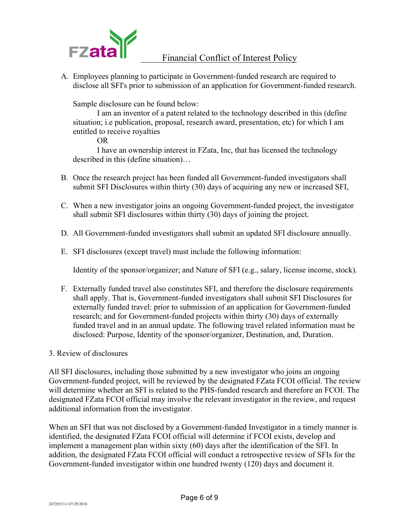

A. Employees planning to participate in Government-funded research are required to disclose all SFI's prior to submission of an application for Government-funded research.

Sample disclosure can be found below:

I am an inventor of a patent related to the technology described in this (define situation; i.e publication, proposal, research award, presentation, etc) for which I am entitled to receive royalties

OR

I have an ownership interest in FZata, Inc, that has licensed the technology described in this (define situation)…

- B. Once the research project has been funded all Government-funded investigators shall submit SFI Disclosures within thirty (30) days of acquiring any new or increased SFI,
- C. When a new investigator joins an ongoing Government-funded project, the investigator shall submit SFI disclosures within thirty (30) days of joining the project.
- D. All Government-funded investigators shall submit an updated SFI disclosure annually.
- E. SFI disclosures (except travel) must include the following information:

Identity of the sponsor/organizer; and Nature of SFI (e.g., salary, license income, stock).

- F. Externally funded travel also constitutes SFI, and therefore the disclosure requirements shall apply. That is, Government-funded investigators shall submit SFI Disclosures for externally funded travel: prior to submission of an application for Government-funded research; and for Government-funded projects within thirty (30) days of externally funded travel and in an annual update. The following travel related information must be disclosed: Purpose, Identity of the sponsor/organizer, Destination, and, Duration.
- 3. Review of disclosures

All SFI disclosures, including those submitted by a new investigator who joins an ongoing Government-funded project, will be reviewed by the designated FZata FCOI official. The review will determine whether an SFI is related to the PHS-funded research and therefore an FCOI. The designated FZata FCOI official may involve the relevant investigator in the review, and request additional information from the investigator.

When an SFI that was not disclosed by a Government-funded Investigator in a timely manner is identified, the designated FZata FCOI official will determine if FCOI exists, develop and implement a management plan within sixty (60) days after the identification of the SFI. In addition, the designated FZata FCOI official will conduct a retrospective review of SFIs for the Government-funded investigator within one hundred twenty (120) days and document it.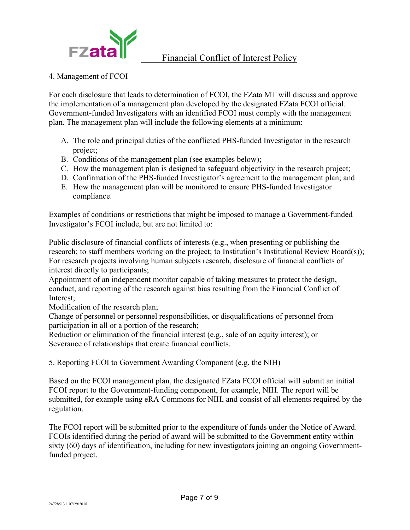

#### 4. Management of FCOI

For each disclosure that leads to determination of FCOI, the FZata MT will discuss and approve the implementation of a management plan developed by the designated FZata FCOI official. Government-funded Investigators with an identified FCOI must comply with the management plan. The management plan will include the following elements at a minimum:

- A. The role and principal duties of the conflicted PHS-funded Investigator in the research project;
- B. Conditions of the management plan (see examples below);
- C. How the management plan is designed to safeguard objectivity in the research project;
- D. Confirmation of the PHS-funded Investigator's agreement to the management plan; and
- E. How the management plan will be monitored to ensure PHS-funded Investigator compliance.

Examples of conditions or restrictions that might be imposed to manage a Government-funded Investigator's FCOI include, but are not limited to:

Public disclosure of financial conflicts of interests (e.g., when presenting or publishing the research; to staff members working on the project; to Institution's Institutional Review Board(s)); For research projects involving human subjects research, disclosure of financial conflicts of interest directly to participants;

Appointment of an independent monitor capable of taking measures to protect the design, conduct, and reporting of the research against bias resulting from the Financial Conflict of Interest;

Modification of the research plan;

Change of personnel or personnel responsibilities, or disqualifications of personnel from participation in all or a portion of the research;

Reduction or elimination of the financial interest (e.g., sale of an equity interest); or Severance of relationships that create financial conflicts.

5. Reporting FCOI to Government Awarding Component (e.g. the NIH)

Based on the FCOI management plan, the designated FZata FCOI official will submit an initial FCOI report to the Government-funding component, for example, NIH. The report will be submitted, for example using eRA Commons for NIH, and consist of all elements required by the regulation.

The FCOI report will be submitted prior to the expenditure of funds under the Notice of Award. FCOIs identified during the period of award will be submitted to the Government entity within sixty (60) days of identification, including for new investigators joining an ongoing Governmentfunded project.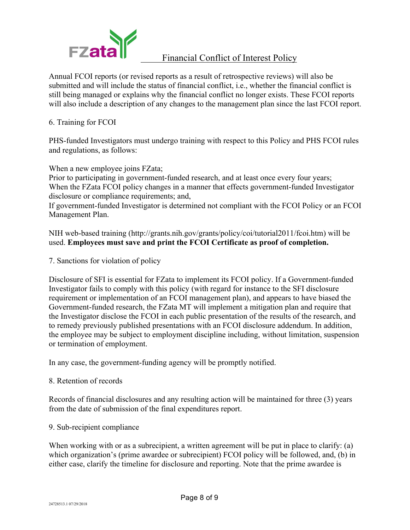

Annual FCOI reports (or revised reports as a result of retrospective reviews) will also be submitted and will include the status of financial conflict, i.e., whether the financial conflict is still being managed or explains why the financial conflict no longer exists. These FCOI reports will also include a description of any changes to the management plan since the last FCOI report.

6. Training for FCOI

PHS-funded Investigators must undergo training with respect to this Policy and PHS FCOI rules and regulations, as follows:

When a new employee joins FZata;

Prior to participating in government-funded research, and at least once every four years; When the FZata FCOI policy changes in a manner that effects government-funded Investigator disclosure or compliance requirements; and,

If government-funded Investigator is determined not compliant with the FCOI Policy or an FCOI Management Plan.

NIH web-based training (http://grants.nih.gov/grants/policy/coi/tutorial2011/fcoi.htm) will be used. **Employees must save and print the FCOI Certificate as proof of completion.**

7. Sanctions for violation of policy

Disclosure of SFI is essential for FZata to implement its FCOI policy. If a Government-funded Investigator fails to comply with this policy (with regard for instance to the SFI disclosure requirement or implementation of an FCOI management plan), and appears to have biased the Government-funded research, the FZata MT will implement a mitigation plan and require that the Investigator disclose the FCOI in each public presentation of the results of the research, and to remedy previously published presentations with an FCOI disclosure addendum. In addition, the employee may be subject to employment discipline including, without limitation, suspension or termination of employment.

In any case, the government-funding agency will be promptly notified.

#### 8. Retention of records

Records of financial disclosures and any resulting action will be maintained for three (3) years from the date of submission of the final expenditures report.

#### 9. Sub-recipient compliance

When working with or as a subrecipient, a written agreement will be put in place to clarify: (a) which organization's (prime awardee or subrecipient) FCOI policy will be followed, and, (b) in either case, clarify the timeline for disclosure and reporting. Note that the prime awardee is